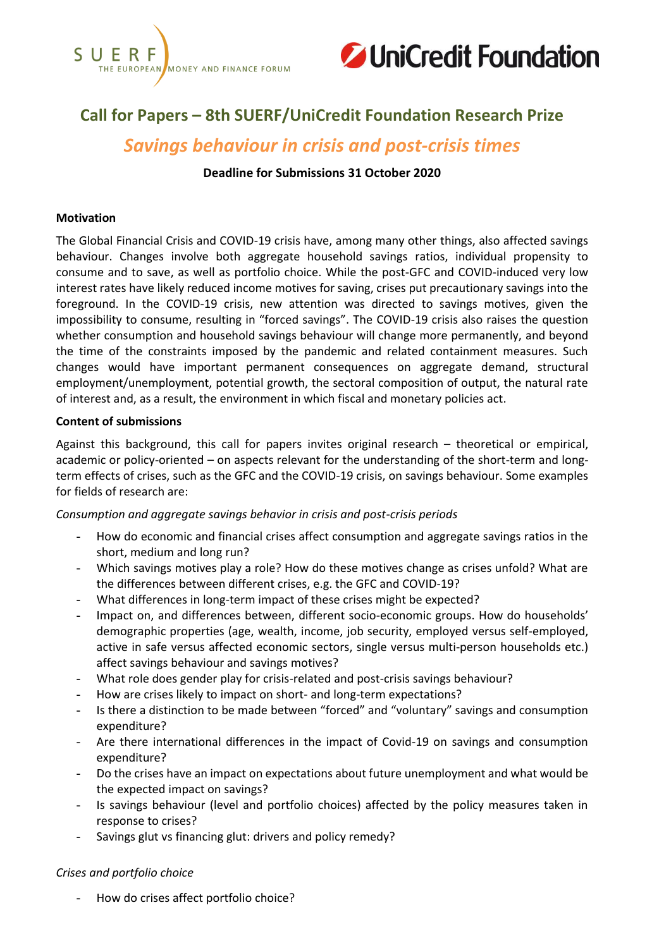



# **Call for Papers – 8th SUERF/UniCredit Foundation Research Prize**

# *Savings behaviour in crisis and post-crisis times*

# **Deadline for Submissions 31 October 2020**

#### **Motivation**

The Global Financial Crisis and COVID-19 crisis have, among many other things, also affected savings behaviour. Changes involve both aggregate household savings ratios, individual propensity to consume and to save, as well as portfolio choice. While the post-GFC and COVID-induced very low interest rates have likely reduced income motives for saving, crises put precautionary savings into the foreground. In the COVID-19 crisis, new attention was directed to savings motives, given the impossibility to consume, resulting in "forced savings". The COVID-19 crisis also raises the question whether consumption and household savings behaviour will change more permanently, and beyond the time of the constraints imposed by the pandemic and related containment measures. Such changes would have important permanent consequences on aggregate demand, structural employment/unemployment, potential growth, the sectoral composition of output, the natural rate of interest and, as a result, the environment in which fiscal and monetary policies act.

#### **Content of submissions**

Against this background, this call for papers invites original research – theoretical or empirical, academic or policy-oriented – on aspects relevant for the understanding of the short-term and longterm effects of crises, such as the GFC and the COVID-19 crisis, on savings behaviour. Some examples for fields of research are:

# *Consumption and aggregate savings behavior in crisis and post-crisis periods*

- How do economic and financial crises affect consumption and aggregate savings ratios in the short, medium and long run?
- Which savings motives play a role? How do these motives change as crises unfold? What are the differences between different crises, e.g. the GFC and COVID-19?
- What differences in long-term impact of these crises might be expected?
- Impact on, and differences between, different socio-economic groups. How do households' demographic properties (age, wealth, income, job security, employed versus self-employed, active in safe versus affected economic sectors, single versus multi-person households etc.) affect savings behaviour and savings motives?
- What role does gender play for crisis-related and post-crisis savings behaviour?
- How are crises likely to impact on short- and long-term expectations?
- Is there a distinction to be made between "forced" and "voluntary" savings and consumption expenditure?
- Are there international differences in the impact of Covid-19 on savings and consumption expenditure?
- Do the crises have an impact on expectations about future unemployment and what would be the expected impact on savings?
- Is savings behaviour (level and portfolio choices) affected by the policy measures taken in response to crises?
- Savings glut vs financing glut: drivers and policy remedy?

# *Crises and portfolio choice*

- How do crises affect portfolio choice?